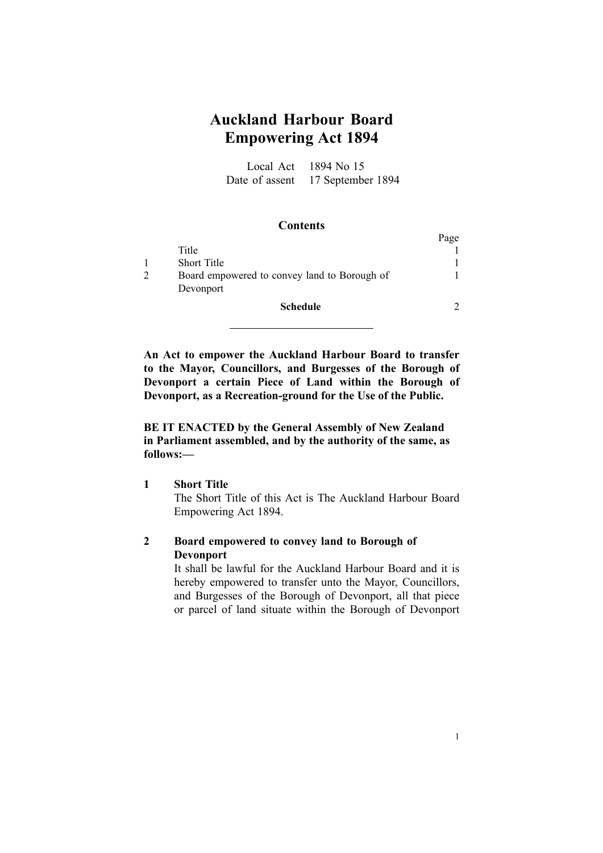# **Auckland Harbour Board Empowering Act 1894**

Local Act 1894 No 15 Date of assent 17 September 1894

#### **Contents**

|                                              | Page |
|----------------------------------------------|------|
| Title                                        |      |
| <b>Short Title</b>                           |      |
| Board empowered to convey land to Borough of |      |
| Devonport                                    |      |
| Schedule                                     |      |

**An Act to empower the Auckland Harbour Board to transfer to the Mayor, Councillors, and Burgesses of the Borough of Devonport <sup>a</sup> certain Piece of Land within the Borough of Devonport, as <sup>a</sup> Recreationground for the Use of the Public.**

**BE IT ENACTED by the General Assembly of New Zealand in Parliament assembled, and by the authority of the same, as follows:—**

#### **1 Short Title**

The Short Title of this Act is The Auckland Harbour Board Empowering Act 1894.

### **2 Board empowered to convey land to Borough of Devonport**

It shall be lawful for the Auckland Harbour Board and it is hereby empowered to transfer unto the Mayor, Councillors, and Burgesses of the Borough of Devonport, all that piece or parcel of land situate within the Borough of Devonport